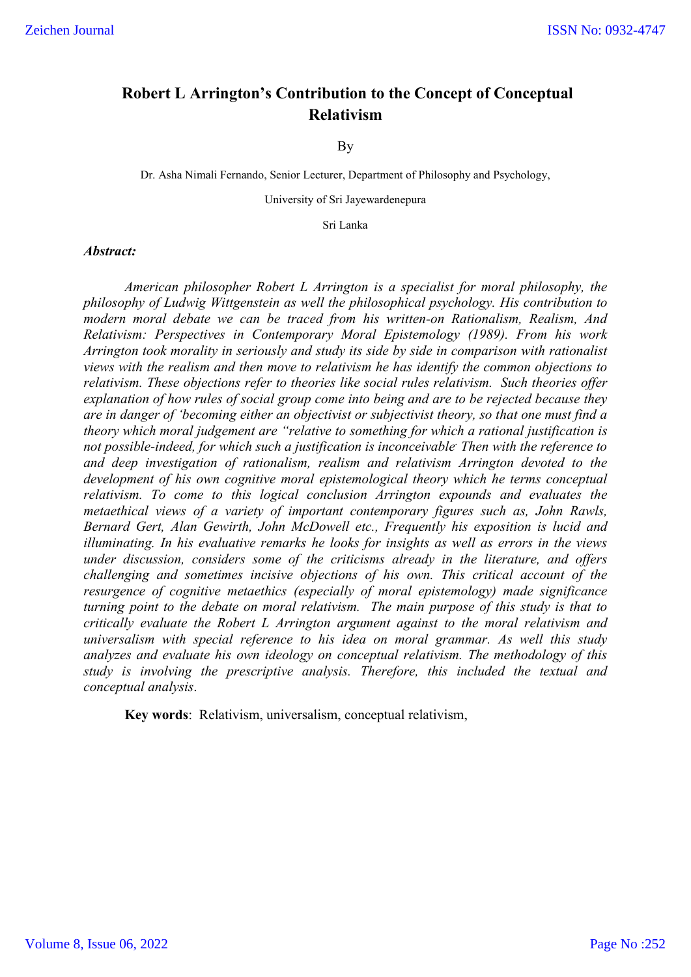# **Robert L Arrington's Contribution to the Concept of Conceptual Relativism**

#### By

Dr. Asha Nimali Fernando, Senior Lecturer, Department of Philosophy and Psychology,

University of Sri Jayewardenepura

Sri Lanka

#### *Abstract:*

*American philosopher Robert L Arrington is a specialist for moral philosophy, the philosophy of Ludwig Wittgenstein as well the philosophical psychology. His contribution to modern moral debate we can be traced from his written-on Rationalism, Realism, And Relativism: Perspectives in Contemporary Moral Epistemology (1989). From his work Arrington took morality in seriously and study its side by side in comparison with rationalist views with the realism and then move to relativism he has identify the common objections to relativism. These objections refer to theories like social rules relativism. Such theories offer explanation of how rules of social group come into being and are to be rejected because they are in danger of 'becoming either an objectivist or subjectivist theory, so that one must find a theory which moral judgement are "relative to something for which a rational justification is not possible-indeed, for which such a justification is inconceivable*. *Then with the reference to and deep investigation of rationalism, realism and relativism Arrington devoted to the development of his own cognitive moral epistemological theory which he terms conceptual relativism. To come to this logical conclusion Arrington expounds and evaluates the metaethical views of a variety of important contemporary figures such as, John Rawls, Bernard Gert, Alan Gewirth, John McDowell etc., Frequently his exposition is lucid and illuminating. In his evaluative remarks he looks for insights as well as errors in the views under discussion, considers some of the criticisms already in the literature, and offers challenging and sometimes incisive objections of his own. This critical account of the resurgence of cognitive metaethics (especially of moral epistemology) made significance turning point to the debate on moral relativism. The main purpose of this study is that to critically evaluate the Robert L Arrington argument against to the moral relativism and universalism with special reference to his idea on moral grammar. As well this study analyzes and evaluate his own ideology on conceptual relativism. The methodology of this study is involving the prescriptive analysis. Therefore, this included the textual and conceptual analysis*.

**Key words**: Relativism, universalism, conceptual relativism,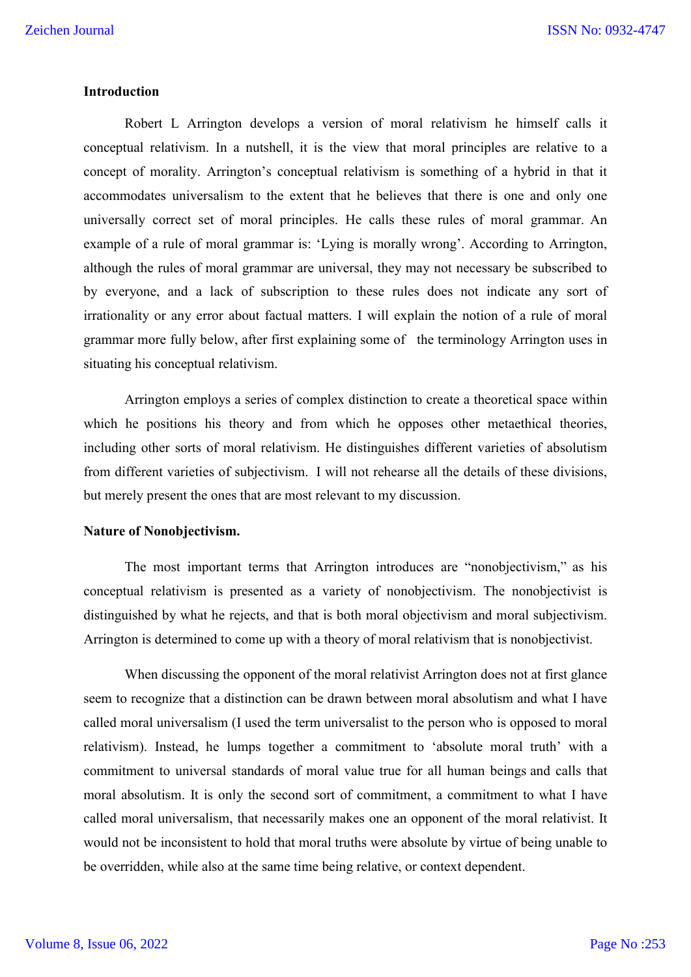# **Introduction**

Robert L Arrington develops a version of moral relativism he himself calls it conceptual relativism. In a nutshell, it is the view that moral principles are relative to a concept of morality. Arrington's conceptual relativism is something of a hybrid in that it accommodates universalism to the extent that he believes that there is one and only one universally correct set of moral principles. He calls these rules of moral grammar. An example of a rule of moral grammar is: 'Lying is morally wrong'. According to Arrington, although the rules of moral grammar are universal, they may not necessary be subscribed to by everyone, and a lack of subscription to these rules does not indicate any sort of irrationality or any error about factual matters. I will explain the notion of a rule of moral grammar more fully below, after first explaining some of the terminology Arrington uses in situating his conceptual relativism.

Arrington employs a series of complex distinction to create a theoretical space within which he positions his theory and from which he opposes other metaethical theories, including other sorts of moral relativism. He distinguishes different varieties of absolutism from different varieties of subjectivism. I will not rehearse all the details of these divisions, but merely present the ones that are most relevant to my discussion.

# **Nature of Nonobjectivism.**

The most important terms that Arrington introduces are "nonobjectivism," as his conceptual relativism is presented as a variety of nonobjectivism. The nonobjectivist is distinguished by what he rejects, and that is both moral objectivism and moral subjectivism. Arrington is determined to come up with a theory of moral relativism that is nonobjectivist.

When discussing the opponent of the moral relativist Arrington does not at first glance seem to recognize that a distinction can be drawn between moral absolutism and what I have called moral universalism (I used the term universalist to the person who is opposed to moral relativism). Instead, he lumps together a commitment to 'absolute moral truth' with a commitment to universal standards of moral value true for all human beings and calls that moral absolutism. It is only the second sort of commitment, a commitment to what I have called moral universalism, that necessarily makes one an opponent of the moral relativist. It would not be inconsistent to hold that moral truths were absolute by virtue of being unable to be overridden, while also at the same time being relative, or context dependent.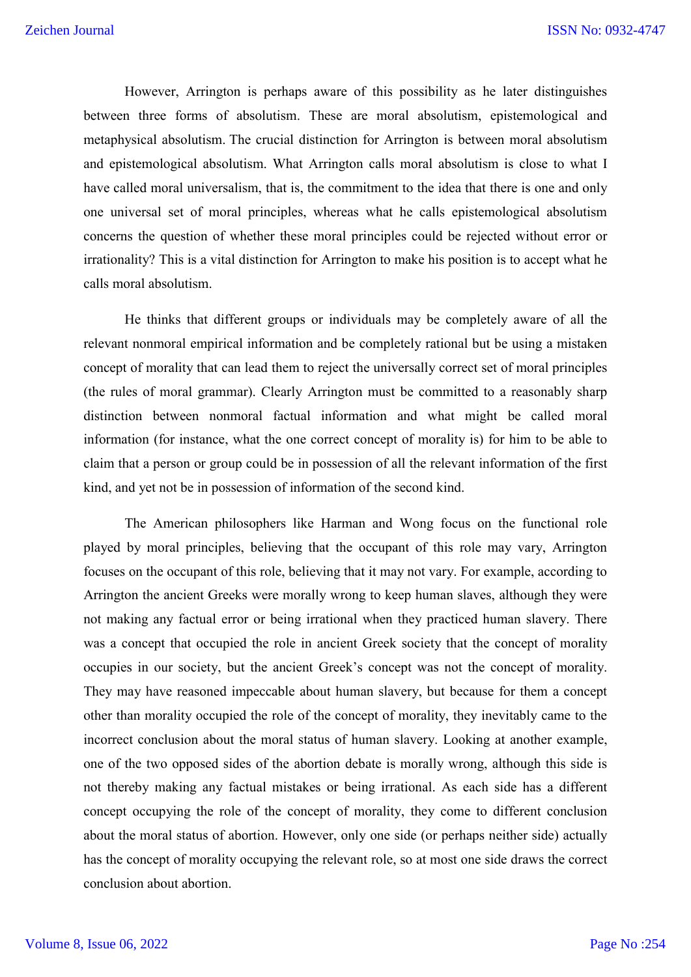However, Arrington is perhaps aware of this possibility as he later distinguishes between three forms of absolutism. These are moral absolutism, epistemological and metaphysical absolutism. The crucial distinction for Arrington is between moral absolutism and epistemological absolutism. What Arrington calls moral absolutism is close to what I have called moral universalism, that is, the commitment to the idea that there is one and only one universal set of moral principles, whereas what he calls epistemological absolutism concerns the question of whether these moral principles could be rejected without error or irrationality? This is a vital distinction for Arrington to make his position is to accept what he calls moral absolutism.

He thinks that different groups or individuals may be completely aware of all the relevant nonmoral empirical information and be completely rational but be using a mistaken concept of morality that can lead them to reject the universally correct set of moral principles (the rules of moral grammar). Clearly Arrington must be committed to a reasonably sharp distinction between nonmoral factual information and what might be called moral information (for instance, what the one correct concept of morality is) for him to be able to claim that a person or group could be in possession of all the relevant information of the first kind, and yet not be in possession of information of the second kind.

The American philosophers like Harman and Wong focus on the functional role played by moral principles, believing that the occupant of this role may vary, Arrington focuses on the occupant of this role, believing that it may not vary. For example, according to Arrington the ancient Greeks were morally wrong to keep human slaves, although they were not making any factual error or being irrational when they practiced human slavery. There was a concept that occupied the role in ancient Greek society that the concept of morality occupies in our society, but the ancient Greek's concept was not the concept of morality. They may have reasoned impeccable about human slavery, but because for them a concept other than morality occupied the role of the concept of morality, they inevitably came to the incorrect conclusion about the moral status of human slavery. Looking at another example, one of the two opposed sides of the abortion debate is morally wrong, although this side is not thereby making any factual mistakes or being irrational. As each side has a different concept occupying the role of the concept of morality, they come to different conclusion about the moral status of abortion. However, only one side (or perhaps neither side) actually has the concept of morality occupying the relevant role, so at most one side draws the correct conclusion about abortion.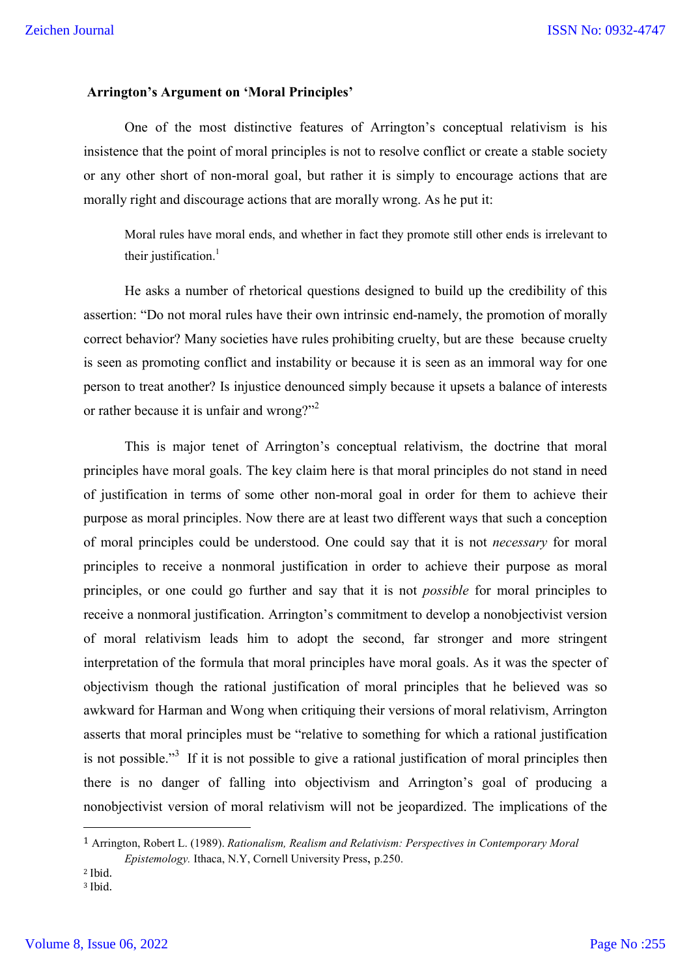#### **Arrington's Argument on 'Moral Principles'**

One of the most distinctive features of Arrington's conceptual relativism is his insistence that the point of moral principles is not to resolve conflict or create a stable society or any other short of non-moral goal, but rather it is simply to encourage actions that are morally right and discourage actions that are morally wrong. As he put it:

Moral rules have moral ends, and whether in fact they promote still other ends is irrelevant to their justification. $\frac{1}{1}$ 

He asks a number of rhetorical questions designed to build up the credibility of this assertion: "Do not moral rules have their own intrinsic end-namely, the promotion of morally correct behavior? Many societies have rules prohibiting cruelty, but are these because cruelty is seen as promoting conflict and instability or because it is seen as an immoral way for one person to treat another? Is injustice denounced simply because it upsets a balance of interests or rather because it is unfair and wrong?"<sup>2</sup>

This is major tenet of Arrington's conceptual relativism, the doctrine that moral principles have moral goals. The key claim here is that moral principles do not stand in need of justification in terms of some other non-moral goal in order for them to achieve their purpose as moral principles. Now there are at least two different ways that such a conception of moral principles could be understood. One could say that it is not *necessary* for moral principles to receive a nonmoral justification in order to achieve their purpose as moral principles, or one could go further and say that it is not *possible* for moral principles to receive a nonmoral justification. Arrington's commitment to develop a nonobjectivist version of moral relativism leads him to adopt the second, far stronger and more stringent interpretation of the formula that moral principles have moral goals. As it was the specter of objectivism though the rational justification of moral principles that he believed was so awkward for Harman and Wong when critiquing their versions of moral relativism, Arrington asserts that moral principles must be "relative to something for which a rational justification is not possible."<sup>3</sup> If it is not possible to give a rational justification of moral principles then there is no danger of falling into objectivism and Arrington's goal of producing a nonobjectivist version of moral relativism will not be jeopardized. The implications of the

 <sup>1</sup> Arrington, Robert L. (1989). *Rationalism, Realism and Relativism: Perspectives in Contemporary Moral Epistemology.* Ithaca, N.Y, Cornell University Press, p.250.

<sup>2</sup> Ibid. <sup>3</sup> Ibid.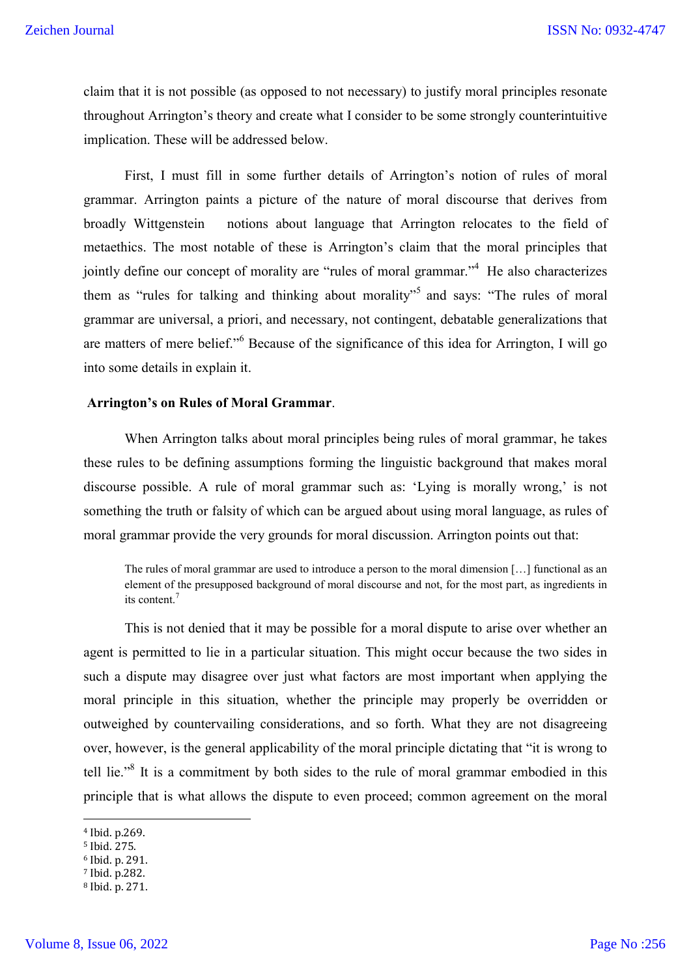claim that it is not possible (as opposed to not necessary) to justify moral principles resonate throughout Arrington's theory and create what I consider to be some strongly counterintuitive implication. These will be addressed below.

First, I must fill in some further details of Arrington's notion of rules of moral grammar. Arrington paints a picture of the nature of moral discourse that derives from broadly Wittgenstein notions about language that Arrington relocates to the field of metaethics. The most notable of these is Arrington's claim that the moral principles that jointly define our concept of morality are "rules of moral grammar."<sup>4</sup> He also characterizes them as "rules for talking and thinking about morality"<sup>5</sup> and says: "The rules of moral grammar are universal, a priori, and necessary, not contingent, debatable generalizations that are matters of mere belief."<sup>6</sup> Because of the significance of this idea for Arrington, I will go into some details in explain it.

# **Arrington's on Rules of Moral Grammar**.

When Arrington talks about moral principles being rules of moral grammar, he takes these rules to be defining assumptions forming the linguistic background that makes moral discourse possible. A rule of moral grammar such as: 'Lying is morally wrong,' is not something the truth or falsity of which can be argued about using moral language, as rules of moral grammar provide the very grounds for moral discussion. Arrington points out that:

The rules of moral grammar are used to introduce a person to the moral dimension […] functional as an element of the presupposed background of moral discourse and not, for the most part, as ingredients in its content. 7

This is not denied that it may be possible for a moral dispute to arise over whether an agent is permitted to lie in a particular situation. This might occur because the two sides in such a dispute may disagree over just what factors are most important when applying the moral principle in this situation, whether the principle may properly be overridden or outweighed by countervailing considerations, and so forth. What they are not disagreeing over, however, is the general applicability of the moral principle dictating that "it is wrong to tell lie."<sup>8</sup> It is a commitment by both sides to the rule of moral grammar embodied in this principle that is what allows the dispute to even proceed; common agreement on the moral

 <sup>4</sup> Ibid. p.269.

<sup>5</sup> Ibid. 275.

<sup>6</sup> Ibid. p. 291.

<sup>7</sup> Ibid. p.282.

<sup>8</sup> Ibid. p. 271.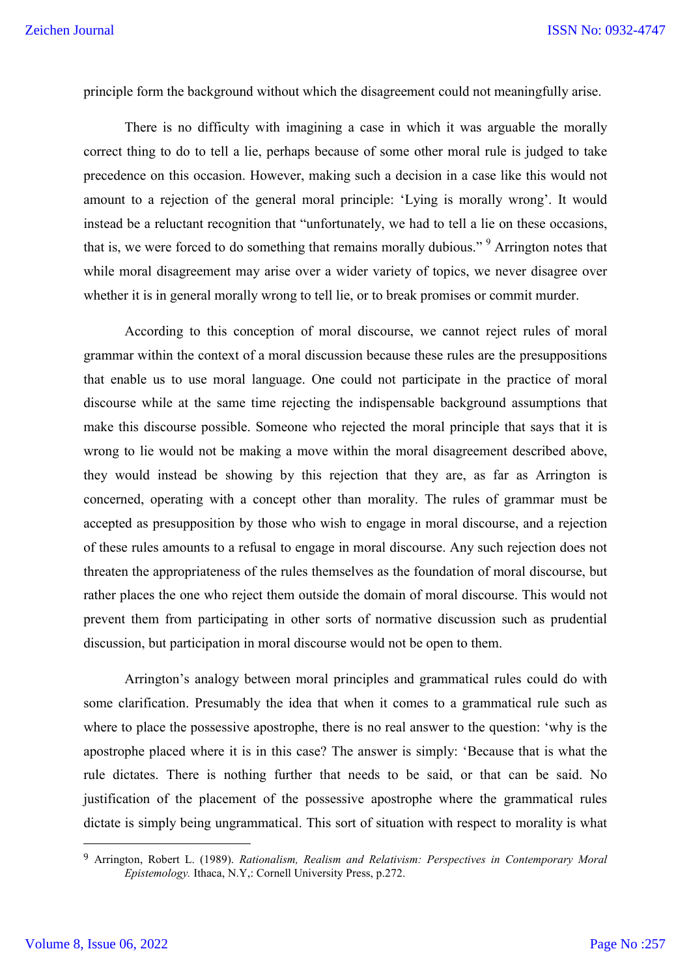principle form the background without which the disagreement could not meaningfully arise.

There is no difficulty with imagining a case in which it was arguable the morally correct thing to do to tell a lie, perhaps because of some other moral rule is judged to take precedence on this occasion. However, making such a decision in a case like this would not amount to a rejection of the general moral principle: 'Lying is morally wrong'. It would instead be a reluctant recognition that "unfortunately, we had to tell a lie on these occasions, that is, we were forced to do something that remains morally dubious."<sup>9</sup> Arrington notes that while moral disagreement may arise over a wider variety of topics, we never disagree over whether it is in general morally wrong to tell lie, or to break promises or commit murder.

According to this conception of moral discourse, we cannot reject rules of moral grammar within the context of a moral discussion because these rules are the presuppositions that enable us to use moral language. One could not participate in the practice of moral discourse while at the same time rejecting the indispensable background assumptions that make this discourse possible. Someone who rejected the moral principle that says that it is wrong to lie would not be making a move within the moral disagreement described above, they would instead be showing by this rejection that they are, as far as Arrington is concerned, operating with a concept other than morality. The rules of grammar must be accepted as presupposition by those who wish to engage in moral discourse, and a rejection of these rules amounts to a refusal to engage in moral discourse. Any such rejection does not threaten the appropriateness of the rules themselves as the foundation of moral discourse, but rather places the one who reject them outside the domain of moral discourse. This would not prevent them from participating in other sorts of normative discussion such as prudential discussion, but participation in moral discourse would not be open to them.

Arrington's analogy between moral principles and grammatical rules could do with some clarification. Presumably the idea that when it comes to a grammatical rule such as where to place the possessive apostrophe, there is no real answer to the question: 'why is the apostrophe placed where it is in this case? The answer is simply: 'Because that is what the rule dictates. There is nothing further that needs to be said, or that can be said. No justification of the placement of the possessive apostrophe where the grammatical rules dictate is simply being ungrammatical. This sort of situation with respect to morality is what

 <sup>9</sup> Arrington, Robert L. (1989). *Rationalism, Realism and Relativism: Perspectives in Contemporary Moral Epistemology.* Ithaca, N.Y,: Cornell University Press, p.272.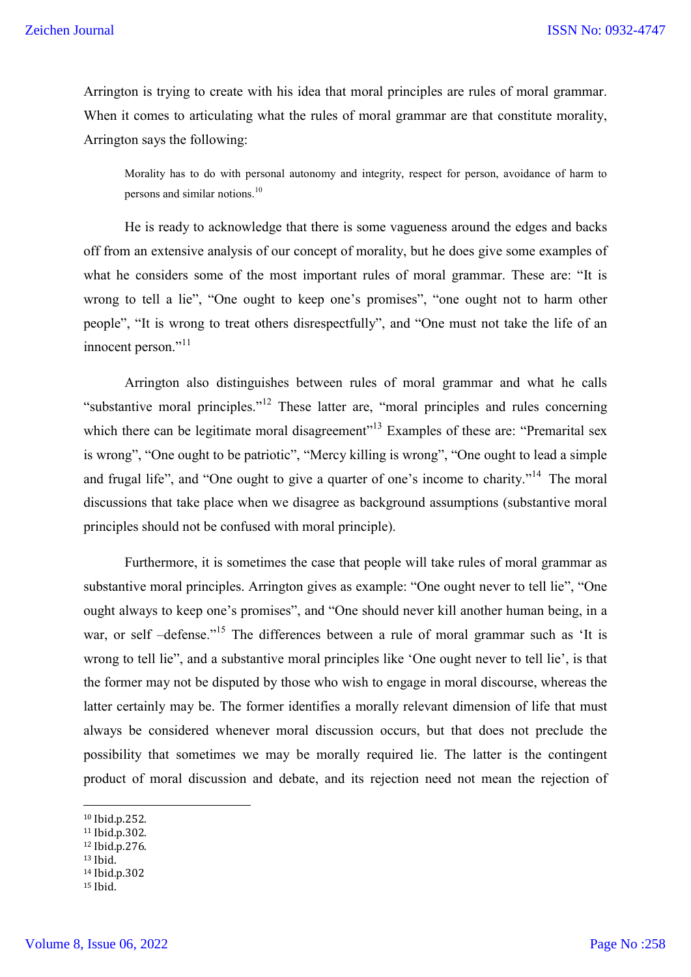Arrington is trying to create with his idea that moral principles are rules of moral grammar. When it comes to articulating what the rules of moral grammar are that constitute morality, Arrington says the following:

Morality has to do with personal autonomy and integrity, respect for person, avoidance of harm to persons and similar notions.<sup>10</sup>

He is ready to acknowledge that there is some vagueness around the edges and backs off from an extensive analysis of our concept of morality, but he does give some examples of what he considers some of the most important rules of moral grammar. These are: "It is wrong to tell a lie", "One ought to keep one's promises", "one ought not to harm other people", "It is wrong to treat others disrespectfully", and "One must not take the life of an innocent person."<sup>11</sup>

Arrington also distinguishes between rules of moral grammar and what he calls "substantive moral principles."<sup>12</sup> These latter are, "moral principles and rules concerning which there can be legitimate moral disagreement"<sup>13</sup> Examples of these are: "Premarital sex is wrong", "One ought to be patriotic", "Mercy killing is wrong", "One ought to lead a simple and frugal life", and "One ought to give a quarter of one's income to charity."<sup>14</sup> The moral discussions that take place when we disagree as background assumptions (substantive moral principles should not be confused with moral principle).

Furthermore, it is sometimes the case that people will take rules of moral grammar as substantive moral principles. Arrington gives as example: "One ought never to tell lie", "One ought always to keep one's promises", and "One should never kill another human being, in a war, or self –defense."<sup>15</sup> The differences between a rule of moral grammar such as 'It is wrong to tell lie", and a substantive moral principles like 'One ought never to tell lie', is that the former may not be disputed by those who wish to engage in moral discourse, whereas the latter certainly may be. The former identifies a morally relevant dimension of life that must always be considered whenever moral discussion occurs, but that does not preclude the possibility that sometimes we may be morally required lie. The latter is the contingent product of moral discussion and debate, and its rejection need not mean the rejection of

- <sup>12</sup> Ibid.p.276.
- <sup>13</sup> Ibid.
- <sup>14</sup> Ibid.p.302

 <sup>10</sup> Ibid.p.252.

<sup>11</sup> Ibid.p.302.

<sup>15</sup> Ibid.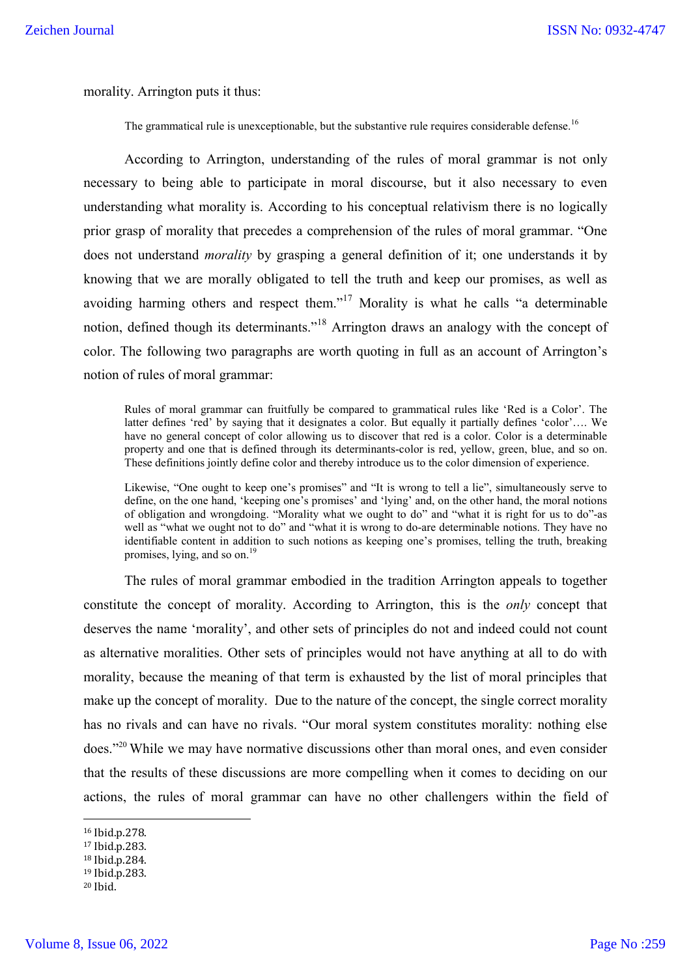morality. Arrington puts it thus:

The grammatical rule is unexceptionable, but the substantive rule requires considerable defense.<sup>16</sup>

According to Arrington, understanding of the rules of moral grammar is not only necessary to being able to participate in moral discourse, but it also necessary to even understanding what morality is. According to his conceptual relativism there is no logically prior grasp of morality that precedes a comprehension of the rules of moral grammar. "One does not understand *morality* by grasping a general definition of it; one understands it by knowing that we are morally obligated to tell the truth and keep our promises, as well as avoiding harming others and respect them."<sup>17</sup> Morality is what he calls "a determinable notion, defined though its determinants."<sup>18</sup> Arrington draws an analogy with the concept of color. The following two paragraphs are worth quoting in full as an account of Arrington's notion of rules of moral grammar:

Rules of moral grammar can fruitfully be compared to grammatical rules like 'Red is a Color'. The latter defines 'red' by saying that it designates a color. But equally it partially defines 'color'…. We have no general concept of color allowing us to discover that red is a color. Color is a determinable property and one that is defined through its determinants-color is red, yellow, green, blue, and so on. These definitions jointly define color and thereby introduce us to the color dimension of experience.

Likewise, "One ought to keep one's promises" and "It is wrong to tell a lie", simultaneously serve to define, on the one hand, 'keeping one's promises' and 'lying' and, on the other hand, the moral notions of obligation and wrongdoing. "Morality what we ought to do" and "what it is right for us to do"-as well as "what we ought not to do" and "what it is wrong to do-are determinable notions. They have no identifiable content in addition to such notions as keeping one's promises, telling the truth, breaking promises, lying, and so on.<sup>19</sup>

The rules of moral grammar embodied in the tradition Arrington appeals to together constitute the concept of morality. According to Arrington, this is the *only* concept that deserves the name 'morality', and other sets of principles do not and indeed could not count as alternative moralities. Other sets of principles would not have anything at all to do with morality, because the meaning of that term is exhausted by the list of moral principles that make up the concept of morality. Due to the nature of the concept, the single correct morality has no rivals and can have no rivals. "Our moral system constitutes morality: nothing else does."20 While we may have normative discussions other than moral ones, and even consider that the results of these discussions are more compelling when it comes to deciding on our actions, the rules of moral grammar can have no other challengers within the field of

 <sup>16</sup> Ibid.p.278.

<sup>17</sup> Ibid.p.283.

<sup>18</sup> Ibid.p.284.

<sup>19</sup> Ibid.p.283.

<sup>20</sup> Ibid.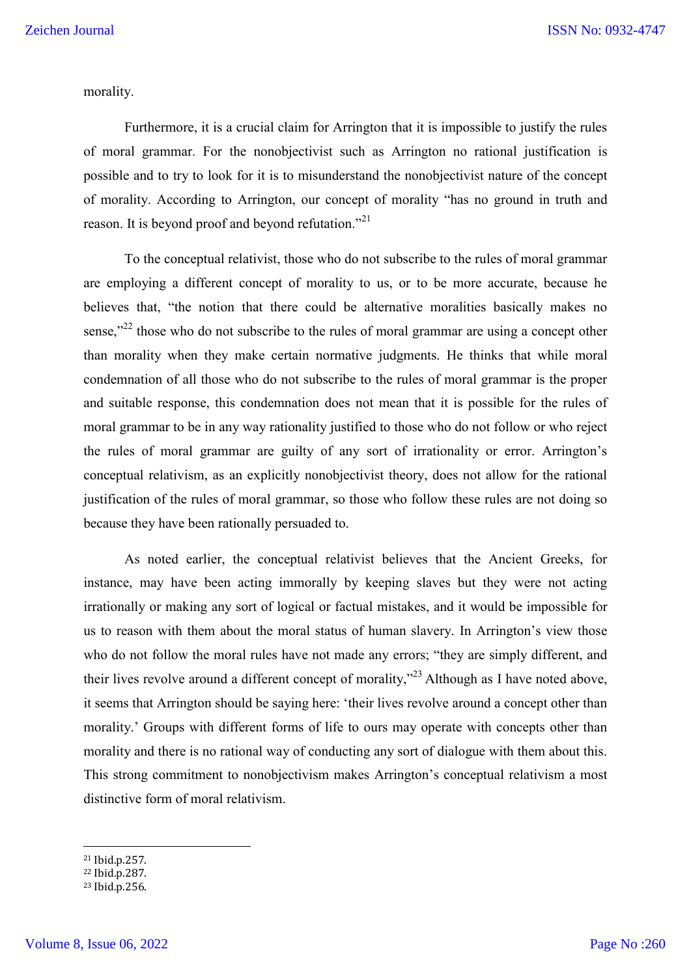morality.

Furthermore, it is a crucial claim for Arrington that it is impossible to justify the rules of moral grammar. For the nonobjectivist such as Arrington no rational justification is possible and to try to look for it is to misunderstand the nonobjectivist nature of the concept of morality. According to Arrington, our concept of morality "has no ground in truth and reason. It is beyond proof and beyond refutation."<sup>21</sup>

To the conceptual relativist, those who do not subscribe to the rules of moral grammar are employing a different concept of morality to us, or to be more accurate, because he believes that, "the notion that there could be alternative moralities basically makes no sense,"<sup>22</sup> those who do not subscribe to the rules of moral grammar are using a concept other than morality when they make certain normative judgments. He thinks that while moral condemnation of all those who do not subscribe to the rules of moral grammar is the proper and suitable response, this condemnation does not mean that it is possible for the rules of moral grammar to be in any way rationality justified to those who do not follow or who reject the rules of moral grammar are guilty of any sort of irrationality or error. Arrington's conceptual relativism, as an explicitly nonobjectivist theory, does not allow for the rational justification of the rules of moral grammar, so those who follow these rules are not doing so because they have been rationally persuaded to.

As noted earlier, the conceptual relativist believes that the Ancient Greeks, for instance, may have been acting immorally by keeping slaves but they were not acting irrationally or making any sort of logical or factual mistakes, and it would be impossible for us to reason with them about the moral status of human slavery. In Arrington's view those who do not follow the moral rules have not made any errors; "they are simply different, and their lives revolve around a different concept of morality,"<sup>23</sup> Although as I have noted above, it seems that Arrington should be saying here: 'their lives revolve around a concept other than morality.' Groups with different forms of life to ours may operate with concepts other than morality and there is no rational way of conducting any sort of dialogue with them about this. This strong commitment to nonobjectivism makes Arrington's conceptual relativism a most distinctive form of moral relativism.

 <sup>21</sup> Ibid.p.257.

<sup>22</sup> Ibid.p.287.

<sup>23</sup> Ibid.p.256.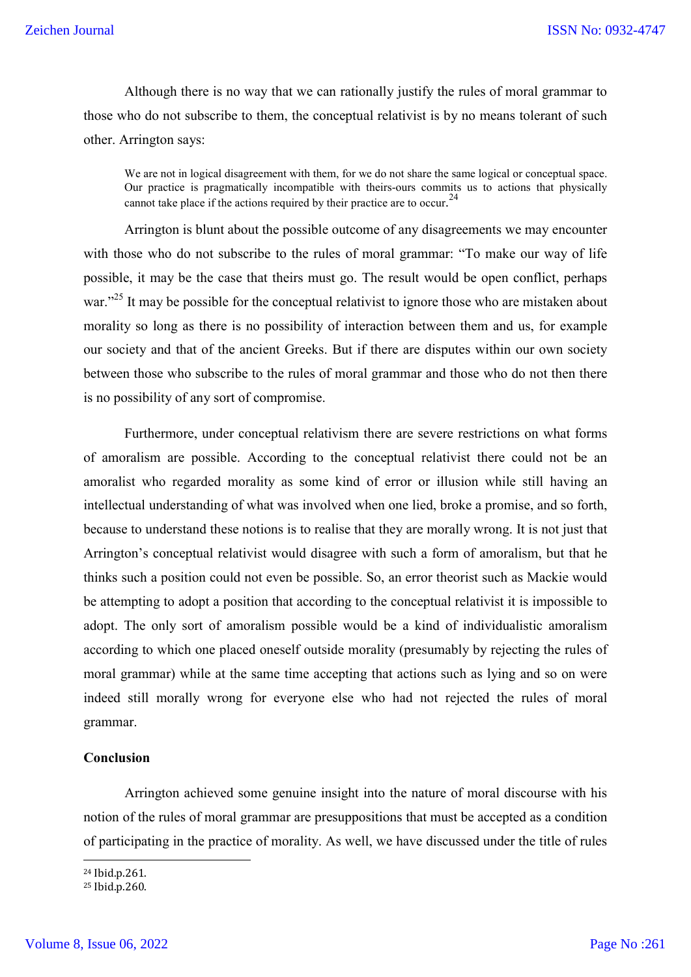Although there is no way that we can rationally justify the rules of moral grammar to those who do not subscribe to them, the conceptual relativist is by no means tolerant of such other. Arrington says:

We are not in logical disagreement with them, for we do not share the same logical or conceptual space. Our practice is pragmatically incompatible with theirs-ours commits us to actions that physically cannot take place if the actions required by their practice are to occur.<sup>24</sup>

Arrington is blunt about the possible outcome of any disagreements we may encounter with those who do not subscribe to the rules of moral grammar: "To make our way of life possible, it may be the case that theirs must go. The result would be open conflict, perhaps war."<sup>25</sup> It may be possible for the conceptual relativist to ignore those who are mistaken about morality so long as there is no possibility of interaction between them and us, for example our society and that of the ancient Greeks. But if there are disputes within our own society between those who subscribe to the rules of moral grammar and those who do not then there is no possibility of any sort of compromise.

Furthermore, under conceptual relativism there are severe restrictions on what forms of amoralism are possible. According to the conceptual relativist there could not be an amoralist who regarded morality as some kind of error or illusion while still having an intellectual understanding of what was involved when one lied, broke a promise, and so forth, because to understand these notions is to realise that they are morally wrong. It is not just that Arrington's conceptual relativist would disagree with such a form of amoralism, but that he thinks such a position could not even be possible. So, an error theorist such as Mackie would be attempting to adopt a position that according to the conceptual relativist it is impossible to adopt. The only sort of amoralism possible would be a kind of individualistic amoralism according to which one placed oneself outside morality (presumably by rejecting the rules of moral grammar) while at the same time accepting that actions such as lying and so on were indeed still morally wrong for everyone else who had not rejected the rules of moral grammar.

#### **Conclusion**

Arrington achieved some genuine insight into the nature of moral discourse with his notion of the rules of moral grammar are presuppositions that must be accepted as a condition of participating in the practice of morality. As well, we have discussed under the title of rules

 <sup>24</sup> Ibid.p.261.

<sup>25</sup> Ibid.p.260.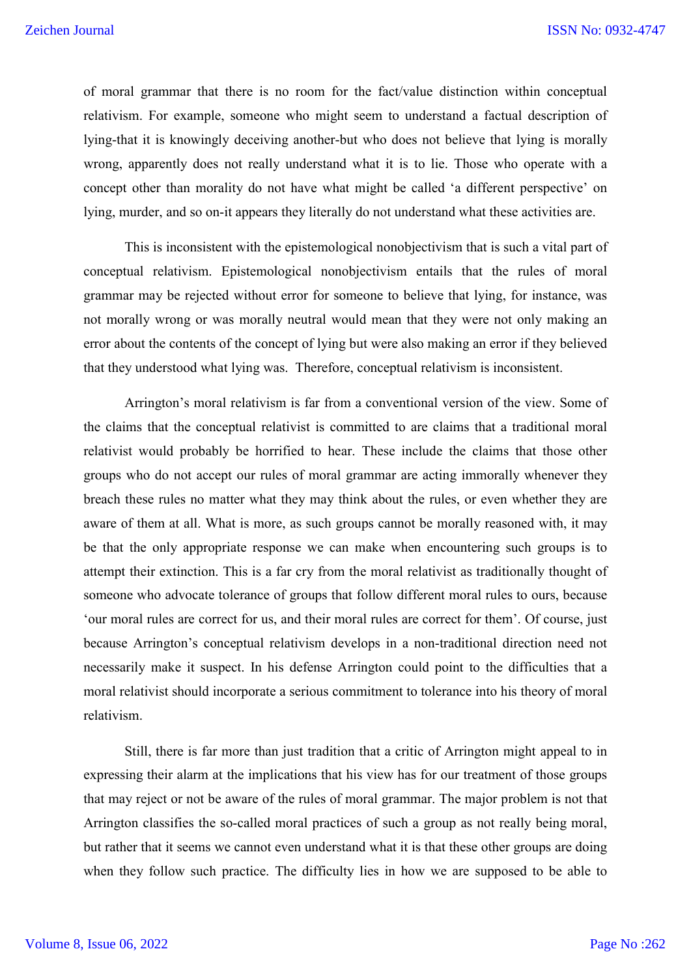of moral grammar that there is no room for the fact/value distinction within conceptual relativism. For example, someone who might seem to understand a factual description of lying-that it is knowingly deceiving another-but who does not believe that lying is morally wrong, apparently does not really understand what it is to lie. Those who operate with a concept other than morality do not have what might be called 'a different perspective' on lying, murder, and so on-it appears they literally do not understand what these activities are.

This is inconsistent with the epistemological nonobjectivism that is such a vital part of conceptual relativism. Epistemological nonobjectivism entails that the rules of moral grammar may be rejected without error for someone to believe that lying, for instance, was not morally wrong or was morally neutral would mean that they were not only making an error about the contents of the concept of lying but were also making an error if they believed that they understood what lying was. Therefore, conceptual relativism is inconsistent.

Arrington's moral relativism is far from a conventional version of the view. Some of the claims that the conceptual relativist is committed to are claims that a traditional moral relativist would probably be horrified to hear. These include the claims that those other groups who do not accept our rules of moral grammar are acting immorally whenever they breach these rules no matter what they may think about the rules, or even whether they are aware of them at all. What is more, as such groups cannot be morally reasoned with, it may be that the only appropriate response we can make when encountering such groups is to attempt their extinction. This is a far cry from the moral relativist as traditionally thought of someone who advocate tolerance of groups that follow different moral rules to ours, because 'our moral rules are correct for us, and their moral rules are correct for them'. Of course, just because Arrington's conceptual relativism develops in a non-traditional direction need not necessarily make it suspect. In his defense Arrington could point to the difficulties that a moral relativist should incorporate a serious commitment to tolerance into his theory of moral relativism.

Still, there is far more than just tradition that a critic of Arrington might appeal to in expressing their alarm at the implications that his view has for our treatment of those groups that may reject or not be aware of the rules of moral grammar. The major problem is not that Arrington classifies the so-called moral practices of such a group as not really being moral, but rather that it seems we cannot even understand what it is that these other groups are doing when they follow such practice. The difficulty lies in how we are supposed to be able to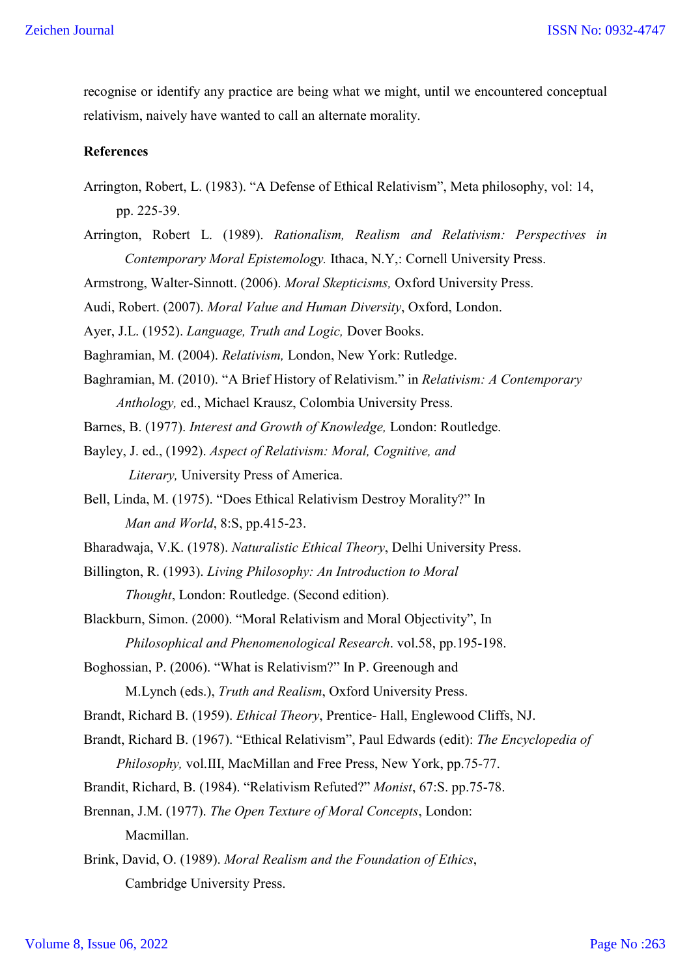recognise or identify any practice are being what we might, until we encountered conceptual relativism, naively have wanted to call an alternate morality.

# **References**

- Arrington, Robert, L. (1983). "A Defense of Ethical Relativism", Meta philosophy, vol: 14, pp. 225-39.
- Arrington, Robert L. (1989). *Rationalism, Realism and Relativism: Perspectives in Contemporary Moral Epistemology.* Ithaca, N.Y,: Cornell University Press.
- Armstrong, Walter-Sinnott. (2006). *Moral Skepticisms,* Oxford University Press.

Audi, Robert. (2007). *Moral Value and Human Diversity*, Oxford, London.

Ayer, J.L. (1952). *Language, Truth and Logic,* Dover Books.

Baghramian, M. (2004). *Relativism,* London, New York: Rutledge.

Baghramian, M. (2010). "A Brief History of Relativism." in *Relativism: A Contemporary Anthology,* ed., Michael Krausz, Colombia University Press.

Barnes, B. (1977). *Interest and Growth of Knowledge,* London: Routledge.

- Bayley, J. ed., (1992). *Aspect of Relativism: Moral, Cognitive, and Literary,* University Press of America.
- Bell, Linda, M. (1975). "Does Ethical Relativism Destroy Morality?" In *Man and World*, 8:S, pp.415-23.

Bharadwaja, V.K. (1978). *Naturalistic Ethical Theory*, Delhi University Press.

- Billington, R. (1993). *Living Philosophy: An Introduction to Moral Thought*, London: Routledge. (Second edition).
- Blackburn, Simon. (2000). "Moral Relativism and Moral Objectivity", In *Philosophical and Phenomenological Research*. vol.58, pp.195-198.
- Boghossian, P. (2006). "What is Relativism?" In P. Greenough and M.Lynch (eds.), *Truth and Realism*, Oxford University Press.

Brandt, Richard B. (1959). *Ethical Theory*, Prentice- Hall, Englewood Cliffs, NJ.

Brandt, Richard B. (1967). "Ethical Relativism", Paul Edwards (edit): *The Encyclopedia of Philosophy,* vol.III, MacMillan and Free Press, New York, pp.75-77.

Brandit, Richard, B. (1984). "Relativism Refuted?" *Monist*, 67:S. pp.75-78.

Brennan, J.M. (1977). *The Open Texture of Moral Concepts*, London: Macmillan.

Brink, David, O. (1989). *Moral Realism and the Foundation of Ethics*, Cambridge University Press.